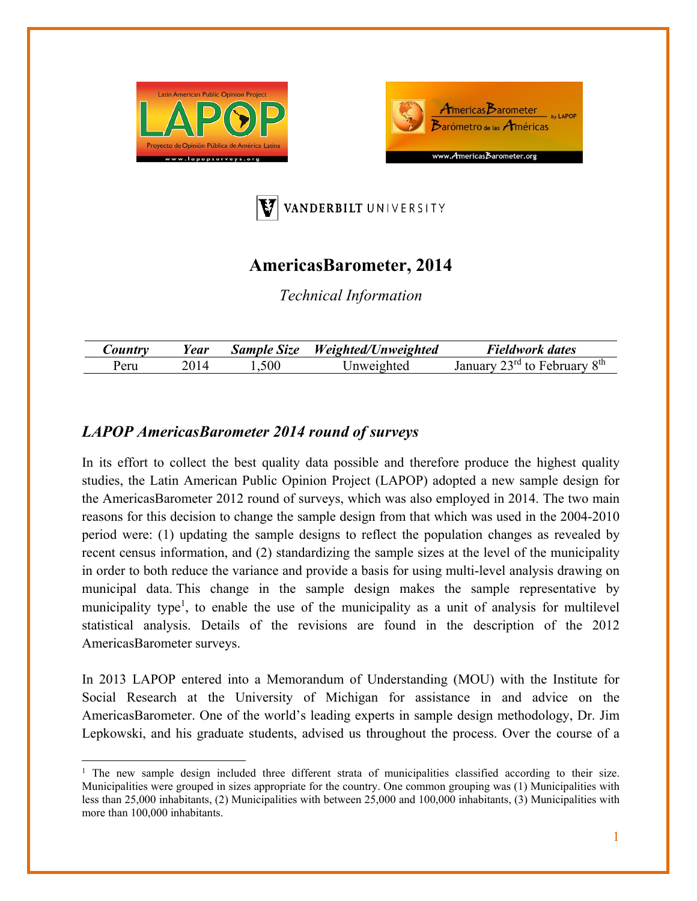





## **AmericasBarometer, 2014**

*Technical Information* 

| <i>Country</i> | l ear | <b>Sample Size</b> | Weighted/Unweighted | Fieldwork dates                              |
|----------------|-------|--------------------|---------------------|----------------------------------------------|
| ∙eru           |       | 500. ا             | Jnweighted          | $23^{\text{rd}}$ to February $8^{\text{th}}$ |

## *LAPOP AmericasBarometer 2014 round of surveys*

In its effort to collect the best quality data possible and therefore produce the highest quality studies, the Latin American Public Opinion Project (LAPOP) adopted a new sample design for the AmericasBarometer 2012 round of surveys, which was also employed in 2014. The two main reasons for this decision to change the sample design from that which was used in the 2004-2010 period were: (1) updating the sample designs to reflect the population changes as revealed by recent census information, and (2) standardizing the sample sizes at the level of the municipality in order to both reduce the variance and provide a basis for using multi-level analysis drawing on municipal data. This change in the sample design makes the sample representative by municipality type<sup>1</sup>, to enable the use of the municipality as a unit of analysis for multilevel statistical analysis. Details of the revisions are found in the description of the 2012 AmericasBarometer surveys.

In 2013 LAPOP entered into a Memorandum of Understanding (MOU) with the Institute for Social Research at the University of Michigan for assistance in and advice on the AmericasBarometer. One of the world's leading experts in sample design methodology, Dr. Jim Lepkowski, and his graduate students, advised us throughout the process. Over the course of a

<sup>&</sup>lt;sup>1</sup> The new sample design included three different strata of municipalities classified according to their size. Municipalities were grouped in sizes appropriate for the country. One common grouping was (1) Municipalities with less than 25,000 inhabitants, (2) Municipalities with between 25,000 and 100,000 inhabitants, (3) Municipalities with more than 100,000 inhabitants.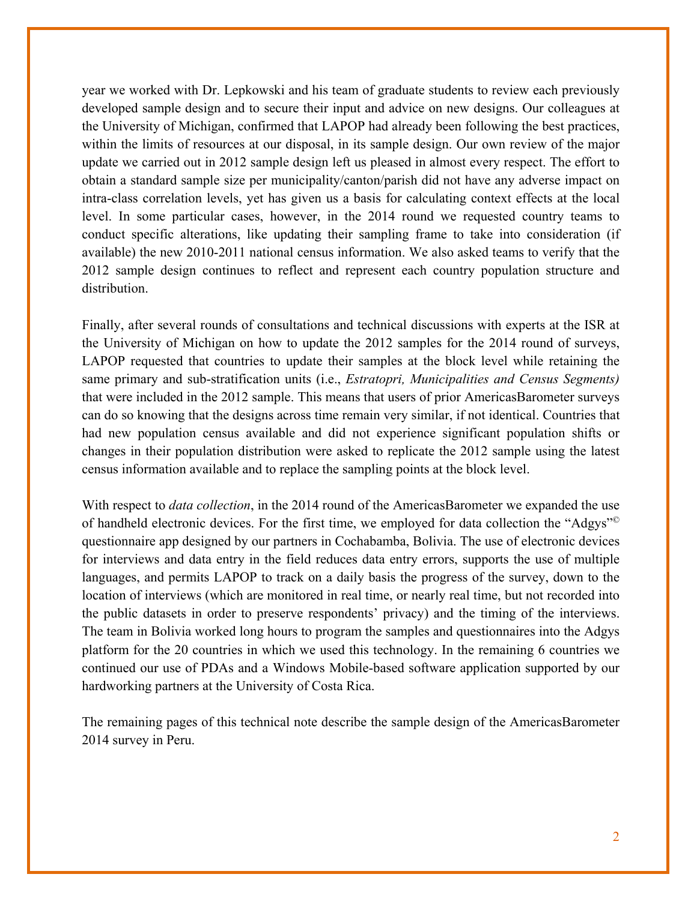year we worked with Dr. Lepkowski and his team of graduate students to review each previously developed sample design and to secure their input and advice on new designs. Our colleagues at the University of Michigan, confirmed that LAPOP had already been following the best practices, within the limits of resources at our disposal, in its sample design. Our own review of the major update we carried out in 2012 sample design left us pleased in almost every respect. The effort to obtain a standard sample size per municipality/canton/parish did not have any adverse impact on intra-class correlation levels, yet has given us a basis for calculating context effects at the local level. In some particular cases, however, in the 2014 round we requested country teams to conduct specific alterations, like updating their sampling frame to take into consideration (if available) the new 2010-2011 national census information. We also asked teams to verify that the 2012 sample design continues to reflect and represent each country population structure and distribution.

Finally, after several rounds of consultations and technical discussions with experts at the ISR at the University of Michigan on how to update the 2012 samples for the 2014 round of surveys, LAPOP requested that countries to update their samples at the block level while retaining the same primary and sub-stratification units (i.e., *Estratopri, Municipalities and Census Segments)*  that were included in the 2012 sample. This means that users of prior AmericasBarometer surveys can do so knowing that the designs across time remain very similar, if not identical. Countries that had new population census available and did not experience significant population shifts or changes in their population distribution were asked to replicate the 2012 sample using the latest census information available and to replace the sampling points at the block level.

With respect to *data collection*, in the 2014 round of the AmericasBarometer we expanded the use of handheld electronic devices. For the first time, we employed for data collection the "Adgys"© questionnaire app designed by our partners in Cochabamba, Bolivia. The use of electronic devices for interviews and data entry in the field reduces data entry errors, supports the use of multiple languages, and permits LAPOP to track on a daily basis the progress of the survey, down to the location of interviews (which are monitored in real time, or nearly real time, but not recorded into the public datasets in order to preserve respondents' privacy) and the timing of the interviews. The team in Bolivia worked long hours to program the samples and questionnaires into the Adgys platform for the 20 countries in which we used this technology. In the remaining 6 countries we continued our use of PDAs and a Windows Mobile-based software application supported by our hardworking partners at the University of Costa Rica.

The remaining pages of this technical note describe the sample design of the AmericasBarometer 2014 survey in Peru.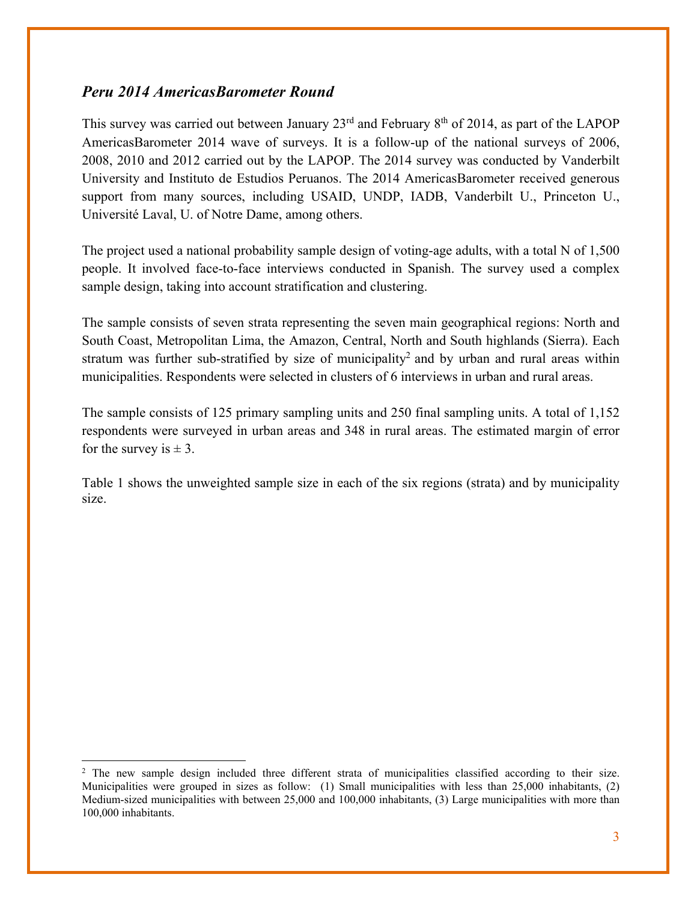## *Peru 2014 AmericasBarometer Round*

This survey was carried out between January  $23<sup>rd</sup>$  and February  $8<sup>th</sup>$  of 2014, as part of the LAPOP AmericasBarometer 2014 wave of surveys. It is a follow-up of the national surveys of 2006, 2008, 2010 and 2012 carried out by the LAPOP. The 2014 survey was conducted by Vanderbilt University and Instituto de Estudios Peruanos. The 2014 AmericasBarometer received generous support from many sources, including USAID, UNDP, IADB, Vanderbilt U., Princeton U., Université Laval, U. of Notre Dame, among others.

The project used a national probability sample design of voting-age adults, with a total N of 1,500 people. It involved face-to-face interviews conducted in Spanish. The survey used a complex sample design, taking into account stratification and clustering.

The sample consists of seven strata representing the seven main geographical regions: North and South Coast, Metropolitan Lima, the Amazon, Central, North and South highlands (Sierra). Each stratum was further sub-stratified by size of municipality<sup>2</sup> and by urban and rural areas within municipalities. Respondents were selected in clusters of 6 interviews in urban and rural areas.

The sample consists of 125 primary sampling units and 250 final sampling units. A total of 1,152 respondents were surveyed in urban areas and 348 in rural areas. The estimated margin of error for the survey is  $\pm 3$ .

Table 1 shows the unweighted sample size in each of the six regions (strata) and by municipality size.

<sup>&</sup>lt;sup>2</sup> The new sample design included three different strata of municipalities classified according to their size. Municipalities were grouped in sizes as follow: (1) Small municipalities with less than 25,000 inhabitants, (2) Medium-sized municipalities with between 25,000 and 100,000 inhabitants, (3) Large municipalities with more than 100,000 inhabitants.